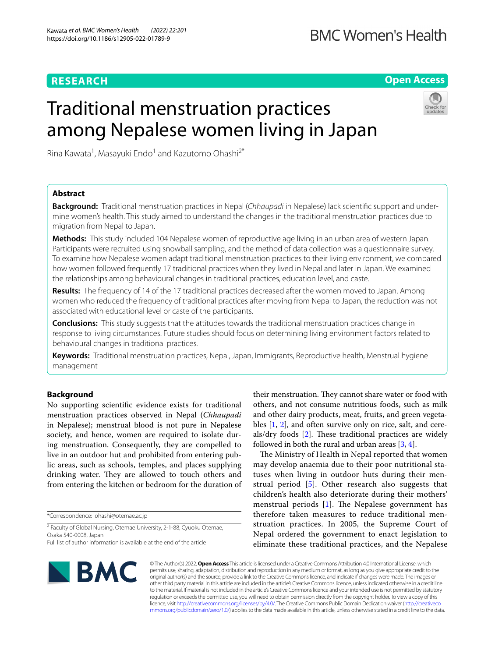# **BMC Women's Health**

# **RESEARCH**

# **Open Access**

# Traditional menstruation practices among Nepalese women living in Japan



Rina Kawata<sup>1</sup>, Masayuki Endo<sup>1</sup> and Kazutomo Ohashi<sup>2\*</sup>

## **Abstract**

**Background:** Traditional menstruation practices in Nepal (*Chhaupadi* in Nepalese) lack scientifc support and under‑ mine women's health. This study aimed to understand the changes in the traditional menstruation practices due to migration from Nepal to Japan.

**Methods:** This study included 104 Nepalese women of reproductive age living in an urban area of western Japan. Participants were recruited using snowball sampling, and the method of data collection was a questionnaire survey. To examine how Nepalese women adapt traditional menstruation practices to their living environment, we compared how women followed frequently 17 traditional practices when they lived in Nepal and later in Japan. We examined the relationships among behavioural changes in traditional practices, education level, and caste.

**Results:** The frequency of 14 of the 17 traditional practices decreased after the women moved to Japan. Among women who reduced the frequency of traditional practices after moving from Nepal to Japan, the reduction was not associated with educational level or caste of the participants.

**Conclusions:** This study suggests that the attitudes towards the traditional menstruation practices change in response to living circumstances. Future studies should focus on determining living environment factors related to behavioural changes in traditional practices.

**Keywords:** Traditional menstruation practices, Nepal, Japan, Immigrants, Reproductive health, Menstrual hygiene management

## **Background**

No supporting scientifc evidence exists for traditional menstruation practices observed in Nepal (*Chhaupadi* in Nepalese); menstrual blood is not pure in Nepalese society, and hence, women are required to isolate during menstruation. Consequently, they are compelled to live in an outdoor hut and prohibited from entering public areas, such as schools, temples, and places supplying drinking water. They are allowed to touch others and from entering the kitchen or bedroom for the duration of

\*Correspondence: ohashi@otemae.ac.jp

<sup>2</sup> Faculty of Global Nursing, Otemae University, 2-1-88, Cyuoku Otemae, Osaka 540‑0008, Japan

their menstruation. They cannot share water or food with others, and not consume nutritious foods, such as milk and other dairy products, meat, fruits, and green vegetables [[1,](#page-8-0) [2](#page-8-1)], and often survive only on rice, salt, and cereals/dry foods  $[2]$  $[2]$  $[2]$ . These traditional practices are widely followed in both the rural and urban areas [\[3,](#page-8-2) [4](#page-8-3)].

The Ministry of Health in Nepal reported that women may develop anaemia due to their poor nutritional statuses when living in outdoor huts during their menstrual period [[5\]](#page-8-4). Other research also suggests that children's health also deteriorate during their mothers' menstrual periods  $[1]$  $[1]$ . The Nepalese government has therefore taken measures to reduce traditional menstruation practices. In 2005, the Supreme Court of Nepal ordered the government to enact legislation to eliminate these traditional practices, and the Nepalese



© The Author(s) 2022. **Open Access** This article is licensed under a Creative Commons Attribution 4.0 International License, which permits use, sharing, adaptation, distribution and reproduction in any medium or format, as long as you give appropriate credit to the original author(s) and the source, provide a link to the Creative Commons licence, and indicate if changes were made. The images or other third party material in this article are included in the article's Creative Commons licence, unless indicated otherwise in a credit line to the material. If material is not included in the article's Creative Commons licence and your intended use is not permitted by statutory regulation or exceeds the permitted use, you will need to obtain permission directly from the copyright holder. To view a copy of this licence, visit [http://creativecommons.org/licenses/by/4.0/.](http://creativecommons.org/licenses/by/4.0/) The Creative Commons Public Domain Dedication waiver ([http://creativeco](http://creativecommons.org/publicdomain/zero/1.0/) [mmons.org/publicdomain/zero/1.0/](http://creativecommons.org/publicdomain/zero/1.0/)) applies to the data made available in this article, unless otherwise stated in a credit line to the data.

Full list of author information is available at the end of the article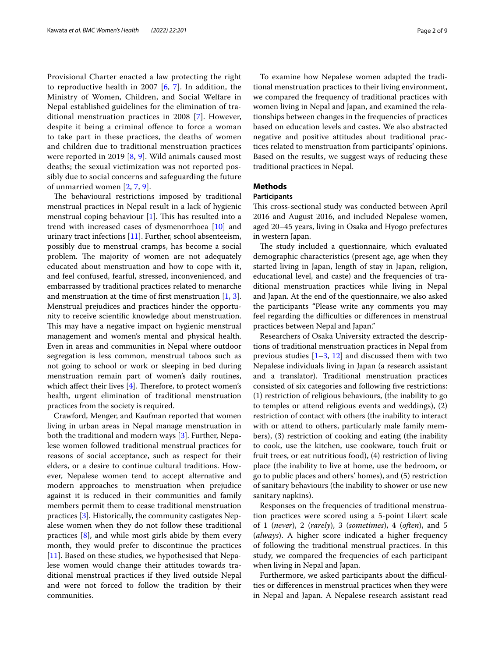Provisional Charter enacted a law protecting the right to reproductive health in 200[7](#page-8-6)  $[6, 7]$  $[6, 7]$  $[6, 7]$ . In addition, the Ministry of Women, Children, and Social Welfare in Nepal established guidelines for the elimination of traditional menstruation practices in 2008 [\[7](#page-8-6)]. However, despite it being a criminal offence to force a woman to take part in these practices, the deaths of women and children due to traditional menstruation practices were reported in 2019 [[8](#page-8-7), [9](#page-8-8)]. Wild animals caused most deaths; the sexual victimization was not reported possibly due to social concerns and safeguarding the future of unmarried women [\[2,](#page-8-1) [7](#page-8-6), [9](#page-8-8)].

The behavioural restrictions imposed by traditional menstrual practices in Nepal result in a lack of hygienic menstrual coping behaviour  $[1]$  $[1]$ . This has resulted into a trend with increased cases of dysmenorrhoea [\[10\]](#page-8-9) and urinary tract infections [[11\]](#page-8-10). Further, school absenteeism, possibly due to menstrual cramps, has become a social problem. The majority of women are not adequately educated about menstruation and how to cope with it, and feel confused, fearful, stressed, inconvenienced, and embarrassed by traditional practices related to menarche and menstruation at the time of frst menstruation [\[1](#page-8-0), [3](#page-8-2)]. Menstrual prejudices and practices hinder the opportunity to receive scientifc knowledge about menstruation. This may have a negative impact on hygienic menstrual management and women's mental and physical health. Even in areas and communities in Nepal where outdoor segregation is less common, menstrual taboos such as not going to school or work or sleeping in bed during menstruation remain part of women's daily routines, which affect their lives  $[4]$  $[4]$ . Therefore, to protect women's health, urgent elimination of traditional menstruation practices from the society is required.

Crawford, Menger, and Kaufman reported that women living in urban areas in Nepal manage menstruation in both the traditional and modern ways [\[3](#page-8-2)]. Further, Nepalese women followed traditional menstrual practices for reasons of social acceptance, such as respect for their elders, or a desire to continue cultural traditions. However, Nepalese women tend to accept alternative and modern approaches to menstruation when prejudice against it is reduced in their communities and family members permit them to cease traditional menstruation practices [[3\]](#page-8-2). Historically, the community castigates Nepalese women when they do not follow these traditional practices [\[8](#page-8-7)], and while most girls abide by them every month, they would prefer to discontinue the practices [[11\]](#page-8-10). Based on these studies, we hypothesised that Nepalese women would change their attitudes towards traditional menstrual practices if they lived outside Nepal and were not forced to follow the tradition by their communities.

To examine how Nepalese women adapted the traditional menstruation practices to their living environment, we compared the frequency of traditional practices with women living in Nepal and Japan, and examined the relationships between changes in the frequencies of practices based on education levels and castes. We also abstracted negative and positive attitudes about traditional practices related to menstruation from participants' opinions. Based on the results, we suggest ways of reducing these traditional practices in Nepal.

## **Methods**

## **Participants**

This cross-sectional study was conducted between April 2016 and August 2016, and included Nepalese women, aged 20–45 years, living in Osaka and Hyogo prefectures in western Japan.

The study included a questionnaire, which evaluated demographic characteristics (present age, age when they started living in Japan, length of stay in Japan, religion, educational level, and caste) and the frequencies of traditional menstruation practices while living in Nepal and Japan. At the end of the questionnaire, we also asked the participants "Please write any comments you may feel regarding the difficulties or differences in menstrual practices between Nepal and Japan."

Researchers of Osaka University extracted the descriptions of traditional menstruation practices in Nepal from previous studies  $[1-3, 12]$  $[1-3, 12]$  $[1-3, 12]$  $[1-3, 12]$  and discussed them with two Nepalese individuals living in Japan (a research assistant and a translator). Traditional menstruation practices consisted of six categories and following fve restrictions: (1) restriction of religious behaviours, (the inability to go to temples or attend religious events and weddings), (2) restriction of contact with others (the inability to interact with or attend to others, particularly male family members), (3) restriction of cooking and eating (the inability to cook, use the kitchen, use cookware, touch fruit or fruit trees, or eat nutritious food), (4) restriction of living place (the inability to live at home, use the bedroom, or go to public places and others' homes), and (5) restriction of sanitary behaviours (the inability to shower or use new sanitary napkins).

Responses on the frequencies of traditional menstruation practices were scored using a 5-point Likert scale of 1 (*never*), 2 (*rarely*), 3 (*sometimes*), 4 (*often*), and 5 (*always*). A higher score indicated a higher frequency of following the traditional menstrual practices. In this study, we compared the frequencies of each participant when living in Nepal and Japan.

Furthermore, we asked participants about the difficulties or diferences in menstrual practices when they were in Nepal and Japan. A Nepalese research assistant read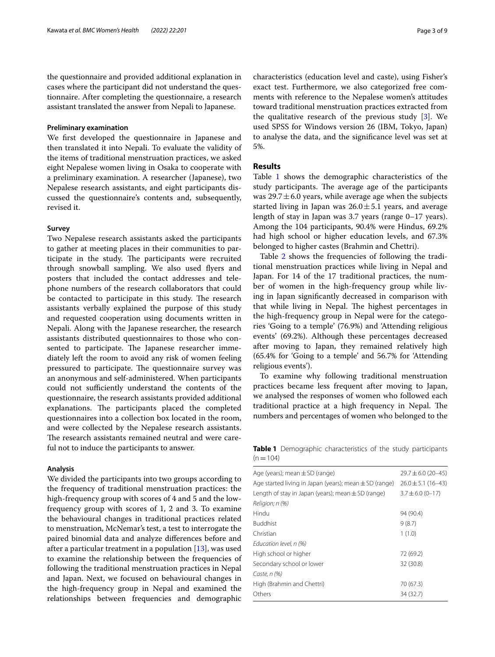the questionnaire and provided additional explanation in cases where the participant did not understand the questionnaire. After completing the questionnaire, a research assistant translated the answer from Nepali to Japanese.

## **Preliminary examination**

We frst developed the questionnaire in Japanese and then translated it into Nepali. To evaluate the validity of the items of traditional menstruation practices, we asked eight Nepalese women living in Osaka to cooperate with a preliminary examination. A researcher (Japanese), two Nepalese research assistants, and eight participants discussed the questionnaire's contents and, subsequently, revised it.

#### **Survey**

Two Nepalese research assistants asked the participants to gather at meeting places in their communities to participate in the study. The participants were recruited through snowball sampling. We also used fyers and posters that included the contact addresses and telephone numbers of the research collaborators that could be contacted to participate in this study. The research assistants verbally explained the purpose of this study and requested cooperation using documents written in Nepali. Along with the Japanese researcher, the research assistants distributed questionnaires to those who consented to participate. The Japanese researcher immediately left the room to avoid any risk of women feeling pressured to participate. The questionnaire survey was an anonymous and self-administered. When participants could not sufficiently understand the contents of the questionnaire, the research assistants provided additional explanations. The participants placed the completed questionnaires into a collection box located in the room, and were collected by the Nepalese research assistants. The research assistants remained neutral and were careful not to induce the participants to answer.

#### **Analysis**

We divided the participants into two groups according to the frequency of traditional menstruation practices: the high-frequency group with scores of 4 and 5 and the lowfrequency group with scores of 1, 2 and 3. To examine the behavioural changes in traditional practices related to menstruation, McNemar's test, a test to interrogate the paired binomial data and analyze diferences before and after a particular treatment in a population [\[13](#page-8-12)], was used to examine the relationship between the frequencies of following the traditional menstruation practices in Nepal and Japan. Next, we focused on behavioural changes in the high-frequency group in Nepal and examined the relationships between frequencies and demographic characteristics (education level and caste), using Fisher's exact test. Furthermore, we also categorized free comments with reference to the Nepalese women's attitudes toward traditional menstruation practices extracted from the qualitative research of the previous study [[3\]](#page-8-2). We used SPSS for Windows version 26 (IBM, Tokyo, Japan) to analyse the data, and the signifcance level was set at 5%.

## **Results**

Table [1](#page-2-0) shows the demographic characteristics of the study participants. The average age of the participants was  $29.7 \pm 6.0$  years, while average age when the subjects started living in Japan was  $26.0 \pm 5.1$  years, and average length of stay in Japan was 3.7 years (range 0–17 years). Among the 104 participants, 90.4% were Hindus, 69.2% had high school or higher education levels, and 67.3% belonged to higher castes (Brahmin and Chettri).

Table [2](#page-3-0) shows the frequencies of following the traditional menstruation practices while living in Nepal and Japan. For 14 of the 17 traditional practices, the number of women in the high-frequency group while living in Japan signifcantly decreased in comparison with that while living in Nepal. The highest percentages in the high-frequency group in Nepal were for the categories 'Going to a temple' (76.9%) and 'Attending religious events' (69.2%). Although these percentages decreased after moving to Japan, they remained relatively high (65.4% for 'Going to a temple' and 56.7% for 'Attending religious events').

To examine why following traditional menstruation practices became less frequent after moving to Japan, we analysed the responses of women who followed each traditional practice at a high frequency in Nepal. The numbers and percentages of women who belonged to the

<span id="page-2-0"></span>**Table 1** Demographic characteristics of the study participants  $(n=104)$ 

| Age (years); mean $\pm$ SD (range)                         | $29.7 \pm 6.0$ (20-45) |  |  |
|------------------------------------------------------------|------------------------|--|--|
| Age started living in Japan (years); mean $\pm$ SD (range) | $26.0 \pm 5.1$ (16-43) |  |  |
| Length of stay in Japan (years); mean $\pm$ SD (range)     | $3.7 \pm 6.0$ (0-17)   |  |  |
| Religion; n (%)                                            |                        |  |  |
| Hindu                                                      | 94 (90.4)              |  |  |
| <b>Buddhist</b>                                            | 9(8.7)                 |  |  |
| Christian                                                  | 1(1.0)                 |  |  |
| Education level, n (%)                                     |                        |  |  |
| High school or higher                                      | 72 (69.2)              |  |  |
| Secondary school or lower                                  | 32 (30.8)              |  |  |
| Caste, $n$ (%)                                             |                        |  |  |
| High (Brahmin and Chettri)                                 | 70 (67.3)              |  |  |
| Others                                                     | 34 (32.7)              |  |  |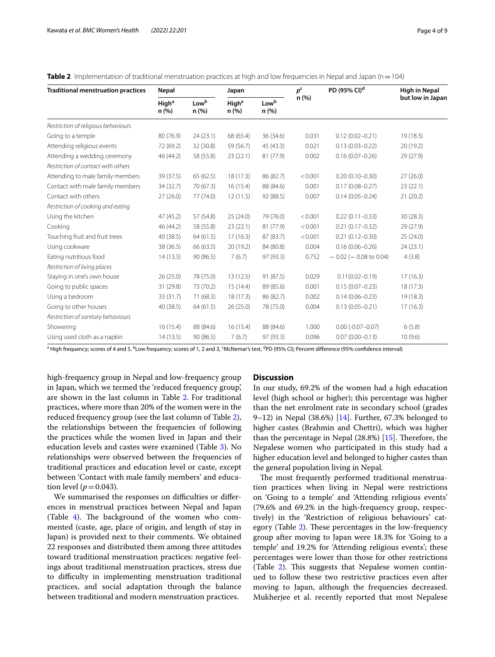| <b>Traditional menstruation practices</b> | Nepal                     |               | Japan     |                                             | p <sup>c</sup><br>n(%) | PD (95% CI) <sup>d</sup>   | <b>High in Nepal</b> |  |
|-------------------------------------------|---------------------------|---------------|-----------|---------------------------------------------|------------------------|----------------------------|----------------------|--|
|                                           | High <sup>a</sup><br>n(%) | Lowb<br>n (%) |           | Lowb<br>High <sup>a</sup><br>n (%)<br>n (%) |                        |                            | but low in Japan     |  |
| Restriction of religious behaviours       |                           |               |           |                                             |                        |                            |                      |  |
| Going to a temple                         | 80 (76.9)                 | 24(23.1)      | 68 (65.4) | 36 (34.6)                                   | 0.031                  | $0.12(0.02 - 0.21)$        | 19(18.3)             |  |
| Attending religious events                | 72 (69.2)                 | 32 (30.8)     | 59 (56.7) | 45 (43.3)                                   | 0.021                  | $0.13(0.03 - 0.22)$        | 20(19.2)             |  |
| Attending a wedding ceremony              | 46 (44.2)                 | 58 (55.8)     | 23(22.1)  | 81 (77.9)                                   | 0.002                  | $0.16(0.07 - 0.26)$        | 29(27.9)             |  |
| Restriction of contact with others        |                           |               |           |                                             |                        |                            |                      |  |
| Attending to male family members          | 39 (37.5)                 | 65(62.5)      | 18(17.3)  | 86 (82.7)                                   | < 0.001                | $0.20(0.10 - 0.30)$        | 27(26.0)             |  |
| Contact with male family members          | 34 (32.7)                 | 70 (67.3)     | 16(15.4)  | 88 (84.6)                                   | 0.001                  | $0.17(0.08 - 0.27)$        | 23(22.1)             |  |
| Contact with others                       | 27(26.0)                  | 77 (74.0)     | 12(11.5)  | 92 (88.5)                                   | 0.007                  | $0.14(0.05 - 0.24)$        | 21(20.2)             |  |
| Restriction of cooking and eating         |                           |               |           |                                             |                        |                            |                      |  |
| Using the kitchen                         | 47 (45.2)                 | 57 (54.8)     | 25(24.0)  | 79 (76.0)                                   | < 0.001                | $0.22(0.11 - 0.33)$        | 30(28.3)             |  |
| Cooking                                   | 46 (44.2)                 | 58 (55.8)     | 23(22.1)  | 81 (77.9)                                   | < 0.001                | $0.21(0.17 - 0.32)$        | 29 (27.9)            |  |
| Touching fruit and fruit trees            | 40 (38.5)                 | 64(61.5)      | 17(16.3)  | 87 (83.7)                                   | < 0.001                | $0.21(0.12 - 0.30)$        | 25(24.0)             |  |
| Using cookware                            | 38 (36.5)                 | 66 (63.5)     | 20 (19.2) | 84 (80.8)                                   | 0.004                  | $0.16(0.06 - 0.26)$        | 24(23.1)             |  |
| Eating nutritious food                    | 14(13.5)                  | 90(86.5)      | 7(6.7)    | 97 (93.3)                                   | 0.752                  | $-0.02$ ( $-0.08$ to 0.04) | 4(3.8)               |  |
| Restriction of living places              |                           |               |           |                                             |                        |                            |                      |  |
| Staying in one's own house                | 26(25.0)                  | 78 (75.0)     | 13 (12.5) | 91 (87.5)                                   | 0.029                  | $0.11(0.02 - 0.19)$        | 17(16.3)             |  |
| Going to public spaces                    | 31 (29.8)                 | 73 (70.2)     | 15(14.4)  | 89 (85.6)                                   | 0.001                  | $0.15(0.07 - 0.23)$        | 18(17.3)             |  |
| Using a bedroom                           | 33 (31.7)                 | 71(68.3)      | 18 (17.3) | 86 (82.7)                                   | 0.002                  | $0.14(0.06 - 0.23)$        | 19 (18.3)            |  |
| Going to other houses                     | 40 (38.5)                 | 64(61.5)      | 26(25.0)  | 78 (75.0)                                   | 0.004                  | $0.13(0.05 - 0.21)$        | 17(16.3)             |  |
| Restriction of sanitary behaviours        |                           |               |           |                                             |                        |                            |                      |  |
| Showering                                 | 16(15.4)                  | 88 (84.6)     | 16(15.4)  | 88 (84.6)                                   | 1.000                  | $0.00 (-0.07 - 0.07)$      | 6(5.8)               |  |
| Using used cloth as a napkin              | 14(13.5)                  | 90 (86.5)     | 7(6.7)    | 97 (93.3)                                   | 0.096                  | $0.07(0.00 - 0.13)$        | 10(9.6)              |  |

<span id="page-3-0"></span>

|  |  |  |  | <b>Table 2</b> Implementation of traditional menstruation practices at high and low frequencies in Nepal and Japan ( $n = 104$ ) |
|--|--|--|--|----------------------------------------------------------------------------------------------------------------------------------|
|  |  |  |  |                                                                                                                                  |

<sup>a</sup> High frequency; scores of 4 and 5, <sup>b</sup>Low frequency; scores of 1, 2 and 3, <sup>c</sup>McNemar's test, <sup>d</sup>PD (95% Cl); Percent difference (95% confidence interval)

high-frequency group in Nepal and low-frequency group in Japan, which we termed the 'reduced frequency group', are shown in the last column in Table [2.](#page-3-0) For traditional practices, where more than 20% of the women were in the reduced frequency group (see the last column of Table [2](#page-3-0)), the relationships between the frequencies of following the practices while the women lived in Japan and their education levels and castes were examined (Table [3\)](#page-4-0). No relationships were observed between the frequencies of traditional practices and education level or caste, except between 'Contact with male family members' and education level  $(p=0.043)$ .

We summarised the responses on difficulties or differences in menstrual practices between Nepal and Japan (Table  $4$ ). The background of the women who commented (caste, age, place of origin, and length of stay in Japan) is provided next to their comments. We obtained 22 responses and distributed them among three attitudes toward traditional menstruation practices: negative feelings about traditional menstruation practices, stress due to difficulty in implementing menstruation traditional practices, and social adaptation through the balance between traditional and modern menstruation practices.

## **Discussion**

In our study, 69.2% of the women had a high education level (high school or higher); this percentage was higher than the net enrolment rate in secondary school (grades 9–12) in Nepal  $(38.6\%)$  [[14\]](#page-8-13). Further, 67.3% belonged to higher castes (Brahmin and Chettri), which was higher than the percentage in Nepal  $(28.8%)$  [[15\]](#page-8-14). Therefore, the Nepalese women who participated in this study had a higher education level and belonged to higher castes than the general population living in Nepal.

The most frequently performed traditional menstruation practices when living in Nepal were restrictions on 'Going to a temple' and 'Attending religious events' (79.6% and 69.2% in the high-frequency group, respectively) in the 'Restriction of religious behaviours' cat-egory (Table [2\)](#page-3-0). These percentages in the low-frequency group after moving to Japan were 18.3% for 'Going to a temple' and 19.2% for 'Attending religious events'; these percentages were lower than those for other restrictions (Table [2\)](#page-3-0). This suggests that Nepalese women continued to follow these two restrictive practices even after moving to Japan, although the frequencies decreased. Mukherjee et al. recently reported that most Nepalese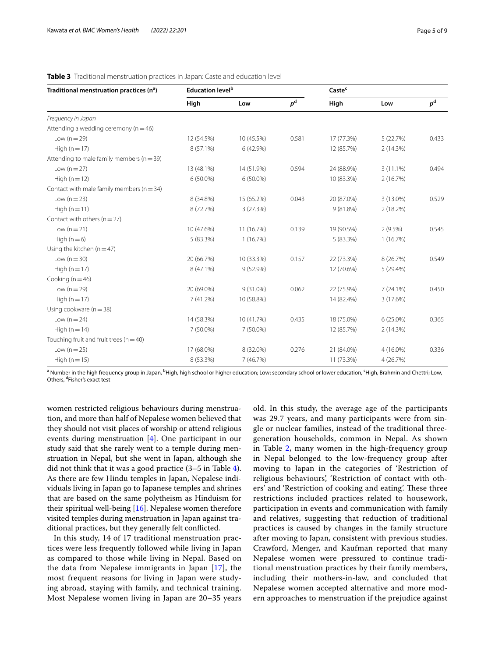## <span id="page-4-0"></span>**Table 3** Traditional menstruation practices in Japan: Caste and education level

| Traditional menstruation practices (n <sup>a</sup> ) | <b>Education level</b> <sup>b</sup> |             |       | Caste <sup>c</sup> |             |       |
|------------------------------------------------------|-------------------------------------|-------------|-------|--------------------|-------------|-------|
|                                                      | High                                | Low         | $p^d$ | High               | Low         | $p^d$ |
| Frequency in Japan                                   |                                     |             |       |                    |             |       |
| Attending a wedding ceremony ( $n = 46$ )            |                                     |             |       |                    |             |       |
| Low $(n=29)$                                         | 12 (54.5%)                          | 10 (45.5%)  | 0.581 | 17 (77.3%)         | 5(22.7%)    | 0.433 |
| High $(n=17)$                                        | 8 (57.1%)                           | 6 (42.9%)   |       | 12 (85.7%)         | 2 (14.3%)   |       |
| Attending to male family members ( $n = 39$ )        |                                     |             |       |                    |             |       |
| Low $(n=27)$                                         | 13 (48.1%)                          | 14 (51.9%)  | 0.594 | 24 (88.9%)         | $3(11.1\%)$ | 0.494 |
| High $(n=12)$                                        | $6(50.0\%)$                         | 6 (50.0%)   |       | 10 (83.3%)         | 2(16.7%)    |       |
| Contact with male family members ( $n = 34$ )        |                                     |             |       |                    |             |       |
| Low $(n=23)$                                         | 8 (34.8%)                           | 15 (65.2%)  | 0.043 | 20 (87.0%)         | 3 (13.0%)   | 0.529 |
| High $(n=11)$                                        | 8 (72.7%)                           | 3 (27.3%)   |       | 9(81.8%)           | 2 (18.2%)   |       |
| Contact with others $(n=27)$                         |                                     |             |       |                    |             |       |
| Low $(n=21)$                                         | 10 (47.6%)                          | 11 (16.7%)  | 0.139 | 19 (90.5%)         | $2(9.5\%)$  | 0.545 |
| High $(n=6)$                                         | 5 (83.3%)                           | 1(16.7%)    |       | 5 (83.3%)          | 1(16.7%)    |       |
| Using the kitchen ( $n = 47$ )                       |                                     |             |       |                    |             |       |
| Low $(n=30)$                                         | 20 (66.7%)                          | 10 (33.3%)  | 0.157 | 22 (73.3%)         | 8 (26.7%)   | 0.549 |
| High $(n=17)$                                        | 8 (47.1%)                           | 9 (52.9%)   |       | 12 (70.6%)         | 5(29.4%)    |       |
| Cooking ( $n = 46$ )                                 |                                     |             |       |                    |             |       |
| Low $(n=29)$                                         | 20 (69.0%)                          | $9(31.0\%)$ | 0.062 | 22 (75.9%)         | $7(24.1\%)$ | 0.450 |
| High $(n=17)$                                        | 7(41.2%)                            | 10 (58.8%)  |       | 14 (82.4%)         | 3 (17.6%)   |       |
| Using cookware $(n = 38)$                            |                                     |             |       |                    |             |       |
| Low $(n=24)$                                         | 14 (58.3%)                          | 10 (41.7%)  | 0.435 | 18 (75.0%)         | $6(25.0\%)$ | 0.365 |
| High $(n=14)$                                        | 7 (50.0%)                           | 7 (50.0%)   |       | 12 (85.7%)         | 2 (14.3%)   |       |
| Touching fruit and fruit trees ( $n = 40$ )          |                                     |             |       |                    |             |       |
| Low $(n=25)$                                         | 17 (68.0%)                          | 8 (32.0%)   | 0.276 | 21 (84.0%)         | 4 (16.0%)   | 0.336 |
| High $(n=15)$                                        | 8 (53.3%)                           | 7 (46.7%)   |       | 11 (73.3%)         | 4(26.7%)    |       |

<sup>a</sup> Number in the high frequency group in Japan, <sup>b</sup>High, high school or higher education; Low; secondary school or lower education, ʿHigh, Brahmin and Chettri; Low, Others, <sup>d</sup>Fisher's exact test

women restricted religious behaviours during menstruation, and more than half of Nepalese women believed that they should not visit places of worship or attend religious events during menstruation [[4\]](#page-8-3). One participant in our study said that she rarely went to a temple during menstruation in Nepal, but she went in Japan, although she did not think that it was a good practice (3–5 in Table [4](#page-5-0)). As there are few Hindu temples in Japan, Nepalese individuals living in Japan go to Japanese temples and shrines that are based on the same polytheism as Hinduism for their spiritual well-being [\[16\]](#page-8-15). Nepalese women therefore visited temples during menstruation in Japan against traditional practices, but they generally felt conficted.

In this study, 14 of 17 traditional menstruation practices were less frequently followed while living in Japan as compared to those while living in Nepal. Based on the data from Nepalese immigrants in Japan [[17\]](#page-8-16), the most frequent reasons for living in Japan were studying abroad, staying with family, and technical training. Most Nepalese women living in Japan are 20–35 years old. In this study, the average age of the participants was 29.7 years, and many participants were from single or nuclear families, instead of the traditional threegeneration households, common in Nepal. As shown in Table [2,](#page-3-0) many women in the high-frequency group in Nepal belonged to the low-frequency group after moving to Japan in the categories of 'Restriction of religious behaviours', 'Restriction of contact with others' and 'Restriction of cooking and eating'. These three restrictions included practices related to housework, participation in events and communication with family and relatives, suggesting that reduction of traditional practices is caused by changes in the family structure after moving to Japan, consistent with previous studies. Crawford, Menger, and Kaufman reported that many Nepalese women were pressured to continue traditional menstruation practices by their family members, including their mothers-in-law, and concluded that Nepalese women accepted alternative and more modern approaches to menstruation if the prejudice against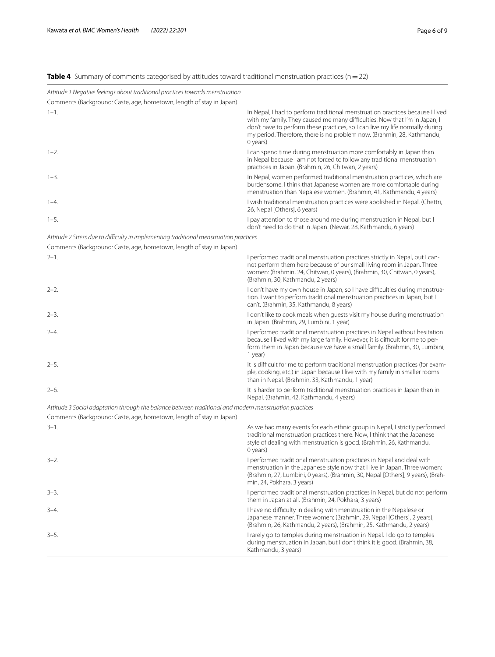# <span id="page-5-0"></span>**Table 4** Summary of comments categorised by attitudes toward traditional menstruation practices (n=22)

| Attitude 1 Negative feelings about traditional practices towards menstruation<br>Comments (Background: Caste, age, hometown, length of stay in Japan) |                                                                                                                                                                                                                                                                                                                                    |
|-------------------------------------------------------------------------------------------------------------------------------------------------------|------------------------------------------------------------------------------------------------------------------------------------------------------------------------------------------------------------------------------------------------------------------------------------------------------------------------------------|
| $1 - 1$ .                                                                                                                                             | In Nepal, I had to perform traditional menstruation practices because I lived<br>with my family. They caused me many difficulties. Now that I'm in Japan, I<br>don't have to perform these practices, so I can live my life normally during<br>my period. Therefore, there is no problem now. (Brahmin, 28, Kathmandu,<br>0 years) |
| $1 - 2.$                                                                                                                                              | I can spend time during menstruation more comfortably in Japan than<br>in Nepal because I am not forced to follow any traditional menstruation<br>practices in Japan. (Brahmin, 26, Chitwan, 2 years)                                                                                                                              |
| $1 - 3$ .                                                                                                                                             | In Nepal, women performed traditional menstruation practices, which are<br>burdensome. I think that Japanese women are more comfortable during<br>menstruation than Nepalese women. (Brahmin, 41, Kathmandu, 4 years)                                                                                                              |
| $1 - 4$ .                                                                                                                                             | I wish traditional menstruation practices were abolished in Nepal. (Chettri,<br>26, Nepal [Others], 6 years)                                                                                                                                                                                                                       |
| $1 - 5$ .                                                                                                                                             | I pay attention to those around me during menstruation in Nepal, but I<br>don't need to do that in Japan. (Newar, 28, Kathmandu, 6 years)                                                                                                                                                                                          |
| Attitude 2 Stress due to difficulty in implementing traditional menstruation practices                                                                |                                                                                                                                                                                                                                                                                                                                    |
| Comments (Background: Caste, age, hometown, length of stay in Japan)                                                                                  |                                                                                                                                                                                                                                                                                                                                    |
| $2 - 1$ .                                                                                                                                             | I performed traditional menstruation practices strictly in Nepal, but I can-<br>not perform them here because of our small living room in Japan. Three<br>women: (Brahmin, 24, Chitwan, 0 years), (Brahmin, 30, Chitwan, 0 years),<br>(Brahmin, 30, Kathmandu, 2 years)                                                            |
| $2 - 2$ .                                                                                                                                             | I don't have my own house in Japan, so I have difficulties during menstrua-<br>tion. I want to perform traditional menstruation practices in Japan, but I<br>can't. (Brahmin, 35, Kathmandu, 8 years)                                                                                                                              |
| $2 - 3$ .                                                                                                                                             | I don't like to cook meals when quests visit my house during menstruation<br>in Japan. (Brahmin, 29, Lumbini, 1 year)                                                                                                                                                                                                              |
| $2 - 4.$                                                                                                                                              | I performed traditional menstruation practices in Nepal without hesitation<br>because I lived with my large family. However, it is difficult for me to per-<br>form them in Japan because we have a small family. (Brahmin, 30, Lumbini,<br>1 year)                                                                                |
| $2 - 5.$                                                                                                                                              | It is difficult for me to perform traditional menstruation practices (for exam-<br>ple, cooking, etc.) in Japan because I live with my family in smaller rooms<br>than in Nepal. (Brahmin, 33, Kathmandu, 1 year)                                                                                                                  |
| $2 - 6.$                                                                                                                                              | It is harder to perform traditional menstruation practices in Japan than in<br>Nepal. (Brahmin, 42, Kathmandu, 4 years)                                                                                                                                                                                                            |
| Attitude 3 Social adaptation through the balance between traditional and modern menstruation practices                                                |                                                                                                                                                                                                                                                                                                                                    |
| Comments (Background: Caste, age, hometown, length of stay in Japan)                                                                                  |                                                                                                                                                                                                                                                                                                                                    |
| $3 - 1$ .                                                                                                                                             | As we had many events for each ethnic group in Nepal, I strictly performed<br>traditional menstruation practices there. Now, I think that the Japanese<br>style of dealing with menstruation is good. (Brahmin, 26, Kathmandu,<br>0 years)                                                                                         |
| $3 - 2$ .                                                                                                                                             | I performed traditional menstruation practices in Nepal and deal with<br>menstruation in the Japanese style now that I live in Japan. Three women:<br>(Brahmin, 27, Lumbini, 0 years), (Brahmin, 30, Nepal [Others], 9 years), (Brah-<br>min, 24, Pokhara, 3 years)                                                                |
| $3 - 3$ .                                                                                                                                             | I performed traditional menstruation practices in Nepal, but do not perform<br>them in Japan at all. (Brahmin, 24, Pokhara, 3 years)                                                                                                                                                                                               |
| $3 - 4$ .                                                                                                                                             | I have no difficulty in dealing with menstruation in the Nepalese or<br>Japanese manner. Three women: (Brahmin, 29, Nepal [Others], 2 years),<br>(Brahmin, 26, Kathmandu, 2 years), (Brahmin, 25, Kathmandu, 2 years)                                                                                                              |
| $3 - 5$ .                                                                                                                                             | I rarely go to temples during menstruation in Nepal. I do go to temples<br>during menstruation in Japan, but I don't think it is good. (Brahmin, 38,<br>Kathmandu, 3 years)                                                                                                                                                        |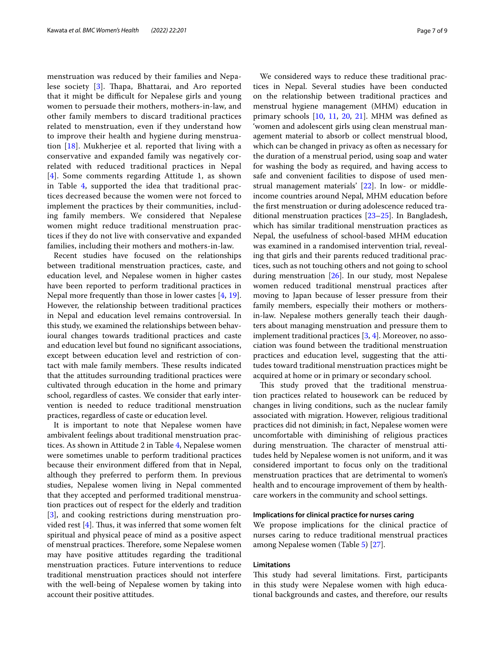menstruation was reduced by their families and Nepa-lese society [[3\]](#page-8-2). Thapa, Bhattarai, and Aro reported that it might be difficult for Nepalese girls and young women to persuade their mothers, mothers-in-law, and other family members to discard traditional practices related to menstruation, even if they understand how to improve their health and hygiene during menstruation [[18\]](#page-8-17). Mukherjee et al. reported that living with a conservative and expanded family was negatively correlated with reduced traditional practices in Nepal [[4](#page-8-3)]. Some comments regarding Attitude 1, as shown in Table [4,](#page-5-0) supported the idea that traditional practices decreased because the women were not forced to implement the practices by their communities, including family members. We considered that Nepalese women might reduce traditional menstruation practices if they do not live with conservative and expanded families, including their mothers and mothers-in-law.

Recent studies have focused on the relationships between traditional menstruation practices, caste, and education level, and Nepalese women in higher castes have been reported to perform traditional practices in Nepal more frequently than those in lower castes [\[4](#page-8-3), [19](#page-8-18)]. However, the relationship between traditional practices in Nepal and education level remains controversial. In this study, we examined the relationships between behavioural changes towards traditional practices and caste and education level but found no signifcant associations, except between education level and restriction of contact with male family members. These results indicated that the attitudes surrounding traditional practices were cultivated through education in the home and primary school, regardless of castes. We consider that early intervention is needed to reduce traditional menstruation practices, regardless of caste or education level.

It is important to note that Nepalese women have ambivalent feelings about traditional menstruation practices. As shown in Attitude 2 in Table [4](#page-5-0), Nepalese women were sometimes unable to perform traditional practices because their environment difered from that in Nepal, although they preferred to perform them. In previous studies, Nepalese women living in Nepal commented that they accepted and performed traditional menstruation practices out of respect for the elderly and tradition [[3\]](#page-8-2), and cooking restrictions during menstruation provided rest  $[4]$  $[4]$  $[4]$ . Thus, it was inferred that some women felt spiritual and physical peace of mind as a positive aspect of menstrual practices. Therefore, some Nepalese women may have positive attitudes regarding the traditional menstruation practices. Future interventions to reduce traditional menstruation practices should not interfere with the well-being of Nepalese women by taking into account their positive attitudes.

We considered ways to reduce these traditional practices in Nepal. Several studies have been conducted on the relationship between traditional practices and menstrual hygiene management (MHM) education in primary schools [\[10](#page-8-9), [11](#page-8-10), [20](#page-8-19), [21](#page-8-20)]. MHM was defned as 'women and adolescent girls using clean menstrual management material to absorb or collect menstrual blood, which can be changed in privacy as often as necessary for the duration of a menstrual period, using soap and water for washing the body as required, and having access to safe and convenient facilities to dispose of used menstrual management materials' [\[22](#page-8-21)]. In low- or middleincome countries around Nepal, MHM education before the frst menstruation or during adolescence reduced traditional menstruation practices [\[23](#page-8-22)[–25\]](#page-8-23). In Bangladesh, which has similar traditional menstruation practices as Nepal, the usefulness of school-based MHM education was examined in a randomised intervention trial, revealing that girls and their parents reduced traditional practices, such as not touching others and not going to school during menstruation [[26](#page-8-24)]. In our study, most Nepalese women reduced traditional menstrual practices after moving to Japan because of lesser pressure from their family members, especially their mothers or mothersin-law. Nepalese mothers generally teach their daughters about managing menstruation and pressure them to implement traditional practices [\[3](#page-8-2), [4\]](#page-8-3). Moreover, no association was found between the traditional menstruation practices and education level, suggesting that the attitudes toward traditional menstruation practices might be acquired at home or in primary or secondary school.

This study proved that the traditional menstruation practices related to housework can be reduced by changes in living conditions, such as the nuclear family associated with migration. However, religious traditional practices did not diminish; in fact, Nepalese women were uncomfortable with diminishing of religious practices during menstruation. The character of menstrual attitudes held by Nepalese women is not uniform, and it was considered important to focus only on the traditional menstruation practices that are detrimental to women's health and to encourage improvement of them by healthcare workers in the community and school settings.

## **Implications for clinical practice for nurses caring**

We propose implications for the clinical practice of nurses caring to reduce traditional menstrual practices among Nepalese women (Table [5\)](#page-7-0) [[27](#page-8-25)].

## **Limitations**

This study had several limitations. First, participants in this study were Nepalese women with high educational backgrounds and castes, and therefore, our results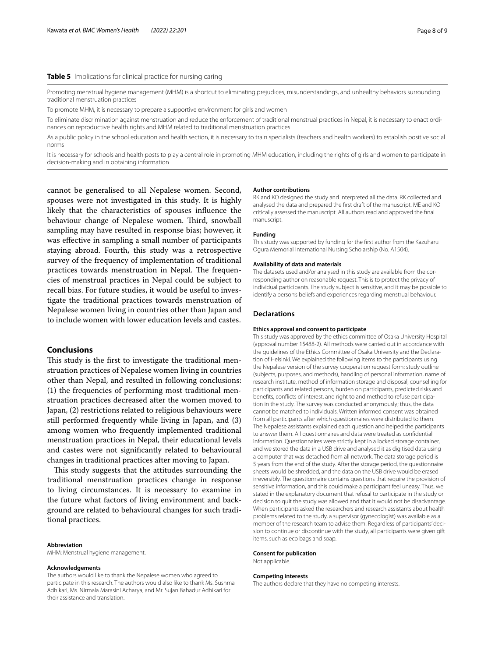## <span id="page-7-0"></span>**Table 5** Implications for clinical practice for nursing caring

Promoting menstrual hygiene management (MHM) is a shortcut to eliminating prejudices, misunderstandings, and unhealthy behaviors surrounding traditional menstruation practices

To promote MHM, it is necessary to prepare a supportive environment for girls and women

To eliminate discrimination against menstruation and reduce the enforcement of traditional menstrual practices in Nepal, it is necessary to enact ordinances on reproductive health rights and MHM related to traditional menstruation practices

As a public policy in the school education and health section, it is necessary to train specialists (teachers and health workers) to establish positive social norms

It is necessary for schools and health posts to play a central role in promoting MHM education, including the rights of girls and women to participate in decision-making and in obtaining information

cannot be generalised to all Nepalese women. Second, spouses were not investigated in this study. It is highly likely that the characteristics of spouses infuence the behaviour change of Nepalese women. Third, snowball sampling may have resulted in response bias; however, it was efective in sampling a small number of participants staying abroad. Fourth, this study was a retrospective survey of the frequency of implementation of traditional practices towards menstruation in Nepal. The frequencies of menstrual practices in Nepal could be subject to recall bias. For future studies, it would be useful to investigate the traditional practices towards menstruation of Nepalese women living in countries other than Japan and to include women with lower education levels and castes.

## **Conclusions**

This study is the first to investigate the traditional menstruation practices of Nepalese women living in countries other than Nepal, and resulted in following conclusions: (1) the frequencies of performing most traditional menstruation practices decreased after the women moved to Japan, (2) restrictions related to religious behaviours were still performed frequently while living in Japan, and (3) among women who frequently implemented traditional menstruation practices in Nepal, their educational levels and castes were not signifcantly related to behavioural changes in traditional practices after moving to Japan.

This study suggests that the attitudes surrounding the traditional menstruation practices change in response to living circumstances. It is necessary to examine in the future what factors of living environment and background are related to behavioural changes for such traditional practices.

#### **Abbreviation**

MHM: Menstrual hygiene management.

#### **Acknowledgements**

The authors would like to thank the Nepalese women who agreed to participate in this research. The authors would also like to thank Ms. Sushma Adhikari, Ms. Nirmala Marasini Acharya, and Mr. Sujan Bahadur Adhikari for their assistance and translation.

#### **Author contributions**

RK and KO designed the study and interpreted all the data. RK collected and analysed the data and prepared the frst draft of the manuscript. ME and KO critically assessed the manuscript. All authors read and approved the fnal manuscript.

## **Funding**

This study was supported by funding for the frst author from the Kazuharu Ogura Memorial International Nursing Scholarship (No. A1504).

#### **Availability of data and materials**

The datasets used and/or analysed in this study are available from the corresponding author on reasonable request. This is to protect the privacy of individual participants. The study subject is sensitive, and it may be possible to identify a person's beliefs and experiences regarding menstrual behaviour.

#### **Declarations**

### **Ethics approval and consent to participate**

This study was approved by the ethics committee of Osaka University Hospital (approval number 15488-2). All methods were carried out in accordance with the guidelines of the Ethics Committee of Osaka University and the Declaration of Helsinki. We explained the following items to the participants using the Nepalese version of the survey cooperation request form: study outline (subjects, purposes, and methods), handling of personal information, name of research institute, method of information storage and disposal, counselling for participants and related persons, burden on participants, predicted risks and benefits, conflicts of interest, and right to and method to refuse participation in the study. The survey was conducted anonymously; thus, the data cannot be matched to individuals. Written informed consent was obtained from all participants after which questionnaires were distributed to them. The Nepalese assistants explained each question and helped the participants to answer them. All questionnaires and data were treated as confdential information. Questionnaires were strictly kept in a locked storage container, and we stored the data in a USB drive and analysed it as digitised data using a computer that was detached from all network. The data storage period is 5 years from the end of the study. After the storage period, the questionnaire sheets would be shredded, and the data on the USB drive would be erased irreversibly. The questionnaire contains questions that require the provision of sensitive information, and this could make a participant feel uneasy. Thus, we stated in the explanatory document that refusal to participate in the study or decision to quit the study was allowed and that it would not be disadvantage. When participants asked the researchers and research assistants about health problems related to the study, a supervisor (gynecologist) was available as a member of the research team to advise them. Regardless of participants' decision to continue or discontinue with the study, all participants were given gift items, such as eco bags and soap.

## **Consent for publication**

Not applicable.

#### **Competing interests**

The authors declare that they have no competing interests.